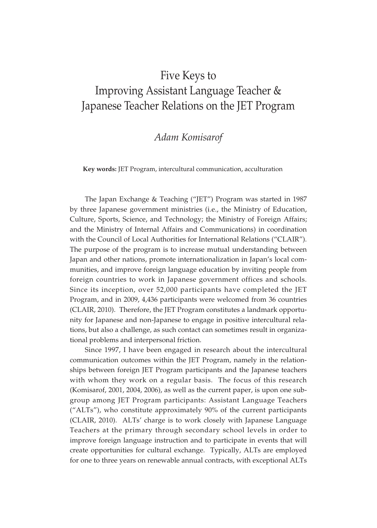# Five Keys to Improving Assistant Language Teacher & Japanese Teacher Relations on the JET Program

# *Adam Komisarof*

**Key words:** JET Program, intercultural communication, acculturation

The Japan Exchange & Teaching ("JET") Program was started in 1987 by three Japanese government ministries (i.e., the Ministry of Education, Culture, Sports, Science, and Technology; the Ministry of Foreign Affairs; and the Ministry of Internal Affairs and Communications) in coordination with the Council of Local Authorities for International Relations ("CLAIR"). The purpose of the program is to increase mutual understanding between Japan and other nations, promote internationalization in Japan's local communities, and improve foreign language education by inviting people from foreign countries to work in Japanese government offices and schools. Since its inception, over 52,000 participants have completed the JET Program, and in 2009, 4,436 participants were welcomed from 36 countries (CLAIR, 2010). Therefore, the JET Program constitutes a landmark opportunity for Japanese and non-Japanese to engage in positive intercultural relations, but also a challenge, as such contact can sometimes result in organizational problems and interpersonal friction.

Since 1997, I have been engaged in research about the intercultural communication outcomes within the JET Program, namely in the relationships between foreign JET Program participants and the Japanese teachers with whom they work on a regular basis. The focus of this research (Komisarof, 2001, 2004, 2006), as well as the current paper, is upon one subgroup among JET Program participants: Assistant Language Teachers ("ALTs"), who constitute approximately 90% of the current participants (CLAIR, 2010). ALTs' charge is to work closely with Japanese Language Teachers at the primary through secondary school levels in order to improve foreign language instruction and to participate in events that will create opportunities for cultural exchange. Typically, ALTs are employed for one to three years on renewable annual contracts, with exceptional ALTs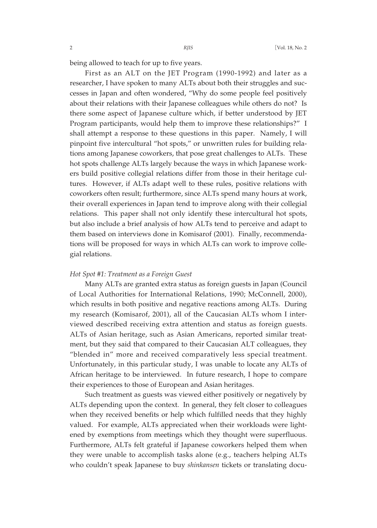being allowed to teach for up to five years.

First as an ALT on the JET Program (1990-1992) and later as a researcher, I have spoken to many ALTs about both their struggles and successes in Japan and often wondered, "Why do some people feel positively about their relations with their Japanese colleagues while others do not? Is there some aspect of Japanese culture which, if better understood by JET Program participants, would help them to improve these relationships?" I shall attempt a response to these questions in this paper. Namely, I will pinpoint five intercultural "hot spots," or unwritten rules for building relations among Japanese coworkers, that pose great challenges to ALTs. These hot spots challenge ALTs largely because the ways in which Japanese workers build positive collegial relations differ from those in their heritage cultures. However, if ALTs adapt well to these rules, positive relations with coworkers often result; furthermore, since ALTs spend many hours at work, their overall experiences in Japan tend to improve along with their collegial relations. This paper shall not only identify these intercultural hot spots, but also include a brief analysis of how ALTs tend to perceive and adapt to them based on interviews done in Komisarof (2001). Finally, recommendations will be proposed for ways in which ALTs can work to improve collegial relations.

#### *Hot Spot #1: Treatment as a Foreign Guest*

Many ALTs are granted extra status as foreign guests in Japan (Council of Local Authorities for International Relations, 1990; McConnell, 2000), which results in both positive and negative reactions among ALTs. During my research (Komisarof, 2001), all of the Caucasian ALTs whom I interviewed described receiving extra attention and status as foreign guests. ALTs of Asian heritage, such as Asian Americans, reported similar treatment, but they said that compared to their Caucasian ALT colleagues, they "blended in" more and received comparatively less special treatment. Unfortunately, in this particular study, I was unable to locate any ALTs of African heritage to be interviewed. In future research, I hope to compare their experiences to those of European and Asian heritages.

Such treatment as guests was viewed either positively or negatively by ALTs depending upon the context. In general, they felt closer to colleagues when they received benefits or help which fulfilled needs that they highly valued. For example, ALTs appreciated when their workloads were lightened by exemptions from meetings which they thought were superfluous. Furthermore, ALTs felt grateful if Japanese coworkers helped them when they were unable to accomplish tasks alone (e.g., teachers helping ALTs who couldn't speak Japanese to buy *shinkansen* tickets or translating docu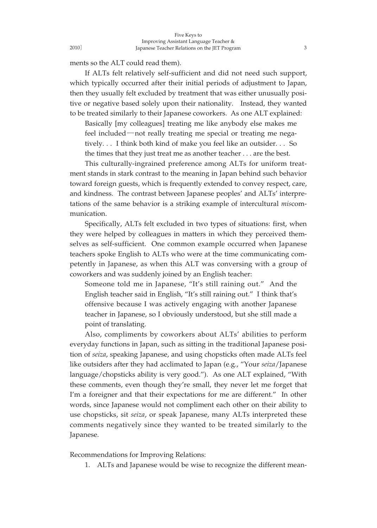ments so the ALT could read them).

2010]

If ALTs felt relatively self-sufficient and did not need such support, which typically occurred after their initial periods of adjustment to Japan, then they usually felt excluded by treatment that was either unusually positive or negative based solely upon their nationality. Instead, they wanted to be treated similarly to their Japanese coworkers. As one ALT explained:

Basically [my colleagues] treating me like anybody else makes me feel included―not really treating me special or treating me negatively. . . I think both kind of make you feel like an outsider. . . So the times that they just treat me as another teacher . . . are the best.

This culturally-ingrained preference among ALTs for uniform treatment stands in stark contrast to the meaning in Japan behind such behavior toward foreign guests, which is frequently extended to convey respect, care, and kindness. The contrast between Japanese peoples' and ALTs' interpretations of the same behavior is a striking example of intercultural *mis*communication.

Specifically, ALTs felt excluded in two types of situations: first, when they were helped by colleagues in matters in which they perceived themselves as self-sufficient. One common example occurred when Japanese teachers spoke English to ALTs who were at the time communicating competently in Japanese, as when this ALT was conversing with a group of coworkers and was suddenly joined by an English teacher:

Someone told me in Japanese, "It's still raining out." And the English teacher said in English, "It's still raining out." I think that's offensive because I was actively engaging with another Japanese teacher in Japanese, so I obviously understood, but she still made a point of translating.

Also, compliments by coworkers about ALTs' abilities to perform everyday functions in Japan, such as sitting in the traditional Japanese position of *seiza*, speaking Japanese, and using chopsticks often made ALTs feel like outsiders after they had acclimated to Japan (e.g., "Your *seiza*/Japanese language/chopsticks ability is very good."). As one ALT explained, "With these comments, even though they're small, they never let me forget that I'm a foreigner and that their expectations for me are different." In other words, since Japanese would not compliment each other on their ability to use chopsticks, sit *seiza*, or speak Japanese, many ALTs interpreted these comments negatively since they wanted to be treated similarly to the Japanese.

Recommendations for Improving Relations:

1. ALTs and Japanese would be wise to recognize the different mean-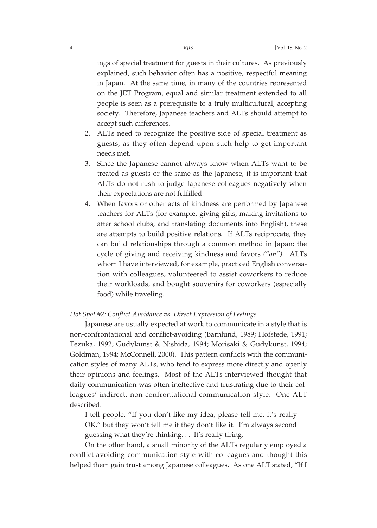ings of special treatment for guests in their cultures. As previously explained, such behavior often has a positive, respectful meaning in Japan. At the same time, in many of the countries represented on the JET Program, equal and similar treatment extended to all people is seen as a prerequisite to a truly multicultural, accepting society. Therefore, Japanese teachers and ALTs should attempt to accept such differences.

- 2. ALTs need to recognize the positive side of special treatment as guests, as they often depend upon such help to get important needs met.
- 3. Since the Japanese cannot always know when ALTs want to be treated as guests or the same as the Japanese, it is important that ALTs do not rush to judge Japanese colleagues negatively when their expectations are not fulfilled.
- 4. When favors or other acts of kindness are performed by Japanese teachers for ALTs (for example, giving gifts, making invitations to after school clubs, and translating documents into English), these are attempts to build positive relations. If ALTs reciprocate, they can build relationships through a common method in Japan: the cycle of giving and receiving kindness and favors *("on")*. ALTs whom I have interviewed, for example, practiced English conversation with colleagues, volunteered to assist coworkers to reduce their workloads, and bought souvenirs for coworkers (especially food) while traveling.

# *Hot Spot #2: Conflict Avoidance vs. Direct Expression of Feelings*

Japanese are usually expected at work to communicate in a style that is non-confrontational and conflict-avoiding (Barnlund, 1989; Hofstede, 1991; Tezuka, 1992; Gudykunst & Nishida, 1994; Morisaki & Gudykunst, 1994; Goldman, 1994; McConnell, 2000). This pattern conflicts with the communication styles of many ALTs, who tend to express more directly and openly their opinions and feelings. Most of the ALTs interviewed thought that daily communication was often ineffective and frustrating due to their colleagues' indirect, non-confrontational communication style. One ALT described:

I tell people, "If you don't like my idea, please tell me, it's really OK," but they won't tell me if they don't like it. I'm always second guessing what they're thinking. . . It's really tiring.

On the other hand, a small minority of the ALTs regularly employed a conflict-avoiding communication style with colleagues and thought this helped them gain trust among Japanese colleagues. As one ALT stated, "If I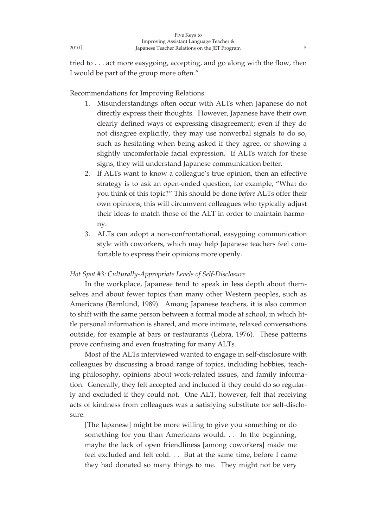tried to . . . act more easygoing, accepting, and go along with the flow, then I would be part of the group more often."

Recommendations for Improving Relations:

- 1. Misunderstandings often occur with ALTs when Japanese do not directly express their thoughts. However, Japanese have their own clearly defined ways of expressing disagreement; even if they do not disagree explicitly, they may use nonverbal signals to do so, such as hesitating when being asked if they agree, or showing a slightly uncomfortable facial expression. If ALTs watch for these signs, they will understand Japanese communication better.
- 2. If ALTs want to know a colleague's true opinion, then an effective strategy is to ask an open-ended question, for example, "What do you think of this topic?" This should be done *before* ALTs offer their own opinions; this will circumvent colleagues who typically adjust their ideas to match those of the ALT in order to maintain harmony.
- 3. ALTs can adopt a non-confrontational, easygoing communication style with coworkers, which may help Japanese teachers feel comfortable to express their opinions more openly.

# *Hot Spot #3: Culturally-Appropriate Levels of Self-Disclosure*

In the workplace, Japanese tend to speak in less depth about themselves and about fewer topics than many other Western peoples, such as Americans (Barnlund, 1989). Among Japanese teachers, it is also common to shift with the same person between a formal mode at school, in which little personal information is shared, and more intimate, relaxed conversations outside, for example at bars or restaurants (Lebra, 1976). These patterns prove confusing and even frustrating for many ALTs.

Most of the ALTs interviewed wanted to engage in self-disclosure with colleagues by discussing a broad range of topics, including hobbies, teaching philosophy, opinions about work-related issues, and family information. Generally, they felt accepted and included if they could do so regularly and excluded if they could not. One ALT, however, felt that receiving acts of kindness from colleagues was a satisfying substitute for self-disclosure:

[The Japanese] might be more willing to give you something or do something for you than Americans would. . . In the beginning, maybe the lack of open friendliness [among coworkers] made me feel excluded and felt cold. . . But at the same time, before I came they had donated so many things to me. They might not be very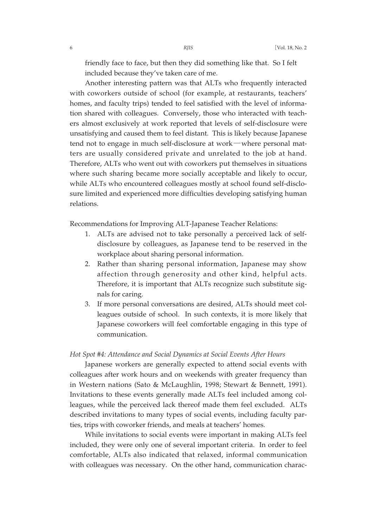friendly face to face, but then they did something like that. So I felt included because they've taken care of me.

Another interesting pattern was that ALTs who frequently interacted with coworkers outside of school (for example, at restaurants, teachers' homes, and faculty trips) tended to feel satisfied with the level of information shared with colleagues. Conversely, those who interacted with teachers almost exclusively at work reported that levels of self-disclosure were unsatisfying and caused them to feel distant. This is likely because Japanese tend not to engage in much self-disclosure at work―where personal matters are usually considered private and unrelated to the job at hand. Therefore, ALTs who went out with coworkers put themselves in situations where such sharing became more socially acceptable and likely to occur, while ALTs who encountered colleagues mostly at school found self-disclosure limited and experienced more difficulties developing satisfying human relations.

Recommendations for Improving ALT-Japanese Teacher Relations:

- 1. ALTs are advised not to take personally a perceived lack of selfdisclosure by colleagues, as Japanese tend to be reserved in the workplace about sharing personal information.
- 2. Rather than sharing personal information, Japanese may show affection through generosity and other kind, helpful acts. Therefore, it is important that ALTs recognize such substitute signals for caring.
- 3. If more personal conversations are desired, ALTs should meet colleagues outside of school. In such contexts, it is more likely that Japanese coworkers will feel comfortable engaging in this type of communication.

### *Hot Spot #4: Attendance and Social Dynamics at Social Events After Hours*

Japanese workers are generally expected to attend social events with colleagues after work hours and on weekends with greater frequency than in Western nations (Sato & McLaughlin, 1998; Stewart & Bennett, 1991). Invitations to these events generally made ALTs feel included among colleagues, while the perceived lack thereof made them feel excluded. ALTs described invitations to many types of social events, including faculty parties, trips with coworker friends, and meals at teachers' homes.

While invitations to social events were important in making ALTs feel included, they were only one of several important criteria. In order to feel comfortable, ALTs also indicated that relaxed, informal communication with colleagues was necessary. On the other hand, communication charac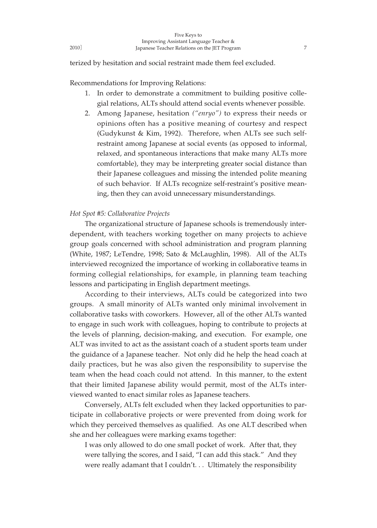terized by hesitation and social restraint made them feel excluded.

Recommendations for Improving Relations:

2010]

- 1. In order to demonstrate a commitment to building positive collegial relations, ALTs should attend social events whenever possible.
- 2. Among Japanese, hesitation *("enryo")* to express their needs or opinions often has a positive meaning of courtesy and respect (Gudykunst & Kim, 1992). Therefore, when ALTs see such selfrestraint among Japanese at social events (as opposed to informal, relaxed, and spontaneous interactions that make many ALTs more comfortable), they may be interpreting greater social distance than their Japanese colleagues and missing the intended polite meaning of such behavior. If ALTs recognize self-restraint's positive meaning, then they can avoid unnecessary misunderstandings.

### *Hot Spot #5: Collaborative Projects*

The organizational structure of Japanese schools is tremendously interdependent, with teachers working together on many projects to achieve group goals concerned with school administration and program planning (White, 1987; LeTendre, 1998; Sato & McLaughlin, 1998). All of the ALTs interviewed recognized the importance of working in collaborative teams in forming collegial relationships, for example, in planning team teaching lessons and participating in English department meetings.

According to their interviews, ALTs could be categorized into two groups. A small minority of ALTs wanted only minimal involvement in collaborative tasks with coworkers. However, all of the other ALTs wanted to engage in such work with colleagues, hoping to contribute to projects at the levels of planning, decision-making, and execution. For example, one ALT was invited to act as the assistant coach of a student sports team under the guidance of a Japanese teacher. Not only did he help the head coach at daily practices, but he was also given the responsibility to supervise the team when the head coach could not attend. In this manner, to the extent that their limited Japanese ability would permit, most of the ALTs interviewed wanted to enact similar roles as Japanese teachers.

Conversely, ALTs felt excluded when they lacked opportunities to participate in collaborative projects or were prevented from doing work for which they perceived themselves as qualified. As one ALT described when she and her colleagues were marking exams together:

I was only allowed to do one small pocket of work. After that, they were tallying the scores, and I said, "I can add this stack." And they were really adamant that I couldn't. . . Ultimately the responsibility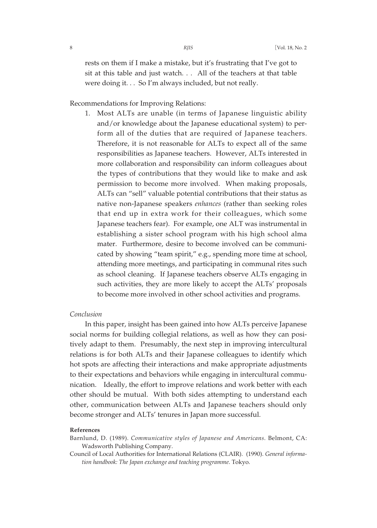rests on them if I make a mistake, but it's frustrating that I've got to sit at this table and just watch. . . All of the teachers at that table were doing it. . . So I'm always included, but not really.

Recommendations for Improving Relations:

1. Most ALTs are unable (in terms of Japanese linguistic ability and/or knowledge about the Japanese educational system) to perform all of the duties that are required of Japanese teachers. Therefore, it is not reasonable for ALTs to expect all of the same responsibilities as Japanese teachers. However, ALTs interested in more collaboration and responsibility can inform colleagues about the types of contributions that they would like to make and ask permission to become more involved. When making proposals, ALTs can "sell" valuable potential contributions that their status as native non-Japanese speakers *enhances* (rather than seeking roles that end up in extra work for their colleagues, which some Japanese teachers fear). For example, one ALT was instrumental in establishing a sister school program with his high school alma mater. Furthermore, desire to become involved can be communicated by showing "team spirit," e.g., spending more time at school, attending more meetings, and participating in communal rites such as school cleaning. If Japanese teachers observe ALTs engaging in such activities, they are more likely to accept the ALTs' proposals to become more involved in other school activities and programs.

#### *Conclusion*

In this paper, insight has been gained into how ALTs perceive Japanese social norms for building collegial relations, as well as how they can positively adapt to them. Presumably, the next step in improving intercultural relations is for both ALTs and their Japanese colleagues to identify which hot spots are affecting their interactions and make appropriate adjustments to their expectations and behaviors while engaging in intercultural communication. Ideally, the effort to improve relations and work better with each other should be mutual. With both sides attempting to understand each other, communication between ALTs and Japanese teachers should only become stronger and ALTs' tenures in Japan more successful.

#### **References**

- Barnlund, D. (1989). *Communicative styles of Japanese and Americans*. Belmont, CA: Wadsworth Publishing Company.
- Council of Local Authorities for International Relations (CLAIR). (1990). *General information handbook: The Japan exchange and teaching programme*. Tokyo.